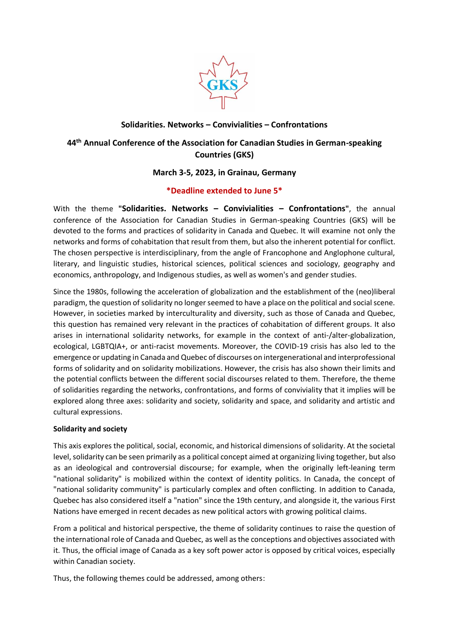

# **Solidarities. Networks – Convivialities – Confrontations**

# **44th Annual Conference of the Association for Canadian Studies in German-speaking Countries (GKS)**

## **March 3-5, 2023, in Grainau, Germany**

## **\*Deadline extended to June 5\***

With the theme **"Solidarities. Networks – Convivialities – Confrontations"**, the annual conference of the Association for Canadian Studies in German-speaking Countries (GKS) will be devoted to the forms and practices of solidarity in Canada and Quebec. It will examine not only the networks and forms of cohabitation that result from them, but also the inherent potential for conflict. The chosen perspective is interdisciplinary, from the angle of Francophone and Anglophone cultural, literary, and linguistic studies, historical sciences, political sciences and sociology, geography and economics, anthropology, and Indigenous studies, as well as women's and gender studies.

Since the 1980s, following the acceleration of globalization and the establishment of the (neo)liberal paradigm, the question of solidarity no longer seemed to have a place on the political and social scene. However, in societies marked by interculturality and diversity, such as those of Canada and Quebec, this question has remained very relevant in the practices of cohabitation of different groups. It also arises in international solidarity networks, for example in the context of anti-/alter-globalization, ecological, LGBTQIA+, or anti-racist movements. Moreover, the COVID-19 crisis has also led to the emergence or updating in Canada and Quebec of discourses on intergenerational and interprofessional forms of solidarity and on solidarity mobilizations. However, the crisis has also shown their limits and the potential conflicts between the different social discourses related to them. Therefore, the theme of solidarities regarding the networks, confrontations, and forms of conviviality that it implies will be explored along three axes: solidarity and society, solidarity and space, and solidarity and artistic and cultural expressions.

#### **Solidarity and society**

This axis explores the political, social, economic, and historical dimensions of solidarity. At the societal level, solidarity can be seen primarily as a political concept aimed at organizing living together, but also as an ideological and controversial discourse; for example, when the originally left-leaning term "national solidarity" is mobilized within the context of identity politics. In Canada, the concept of "national solidarity community" is particularly complex and often conflicting. In addition to Canada, Quebec has also considered itself a "nation" since the 19th century, and alongside it, the various First Nations have emerged in recent decades as new political actors with growing political claims.

From a political and historical perspective, the theme of solidarity continues to raise the question of the international role of Canada and Quebec, as well as the conceptions and objectives associated with it. Thus, the official image of Canada as a key soft power actor is opposed by critical voices, especially within Canadian society.

Thus, the following themes could be addressed, among others: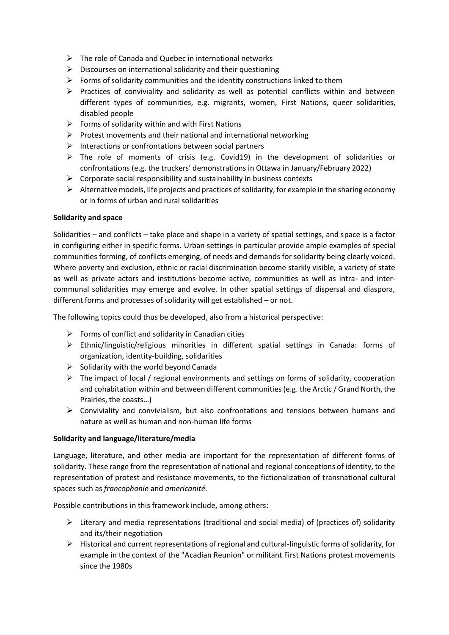- $\triangleright$  The role of Canada and Quebec in international networks
- $\triangleright$  Discourses on international solidarity and their questioning
- $\triangleright$  Forms of solidarity communities and the identity constructions linked to them
- ➢ Practices of conviviality and solidarity as well as potential conflicts within and between different types of communities, e.g. migrants, women, First Nations, queer solidarities, disabled people
- $\triangleright$  Forms of solidarity within and with First Nations
- $\triangleright$  Protest movements and their national and international networking
- ➢ Interactions or confrontations between social partners
- $\triangleright$  The role of moments of crisis (e.g. Covid19) in the development of solidarities or confrontations (e.g. the truckers' demonstrations in Ottawa in January/February 2022)
- $\triangleright$  Corporate social responsibility and sustainability in business contexts
- $\triangleright$  Alternative models, life projects and practices of solidarity, for example in the sharing economy or in forms of urban and rural solidarities

#### **Solidarity and space**

Solidarities – and conflicts – take place and shape in a variety of spatial settings, and space is a factor in configuring either in specific forms. Urban settings in particular provide ample examples of special communities forming, of conflicts emerging, of needs and demands for solidarity being clearly voiced. Where poverty and exclusion, ethnic or racial discrimination become starkly visible, a variety of state as well as private actors and institutions become active, communities as well as intra- and intercommunal solidarities may emerge and evolve. In other spatial settings of dispersal and diaspora, different forms and processes of solidarity will get established – or not.

The following topics could thus be developed, also from a historical perspective:

- $\triangleright$  Forms of conflict and solidarity in Canadian cities
- ➢ Ethnic/linguistic/religious minorities in different spatial settings in Canada: forms of organization, identity-building, solidarities
- $\triangleright$  Solidarity with the world beyond Canada
- ➢ The impact of local / regional environments and settings on forms of solidarity, cooperation and cohabitation within and between different communities (e.g. the Arctic / Grand North, the Prairies, the coasts…)
- $\triangleright$  Conviviality and convivialism, but also confrontations and tensions between humans and nature as well as human and non-human life forms

#### **Solidarity and language/literature/media**

Language, literature, and other media are important for the representation of different forms of solidarity. These range from the representation of national and regional conceptions of identity, to the representation of protest and resistance movements, to the fictionalization of transnational cultural spaces such as *francophonie* and *americanité*.

Possible contributions in this framework include, among others:

- $\triangleright$  Literary and media representations (traditional and social media) of (practices of) solidarity and its/their negotiation
- ➢ Historical and current representations of regional and cultural-linguistic forms of solidarity, for example in the context of the "Acadian Reunion" or militant First Nations protest movements since the 1980s